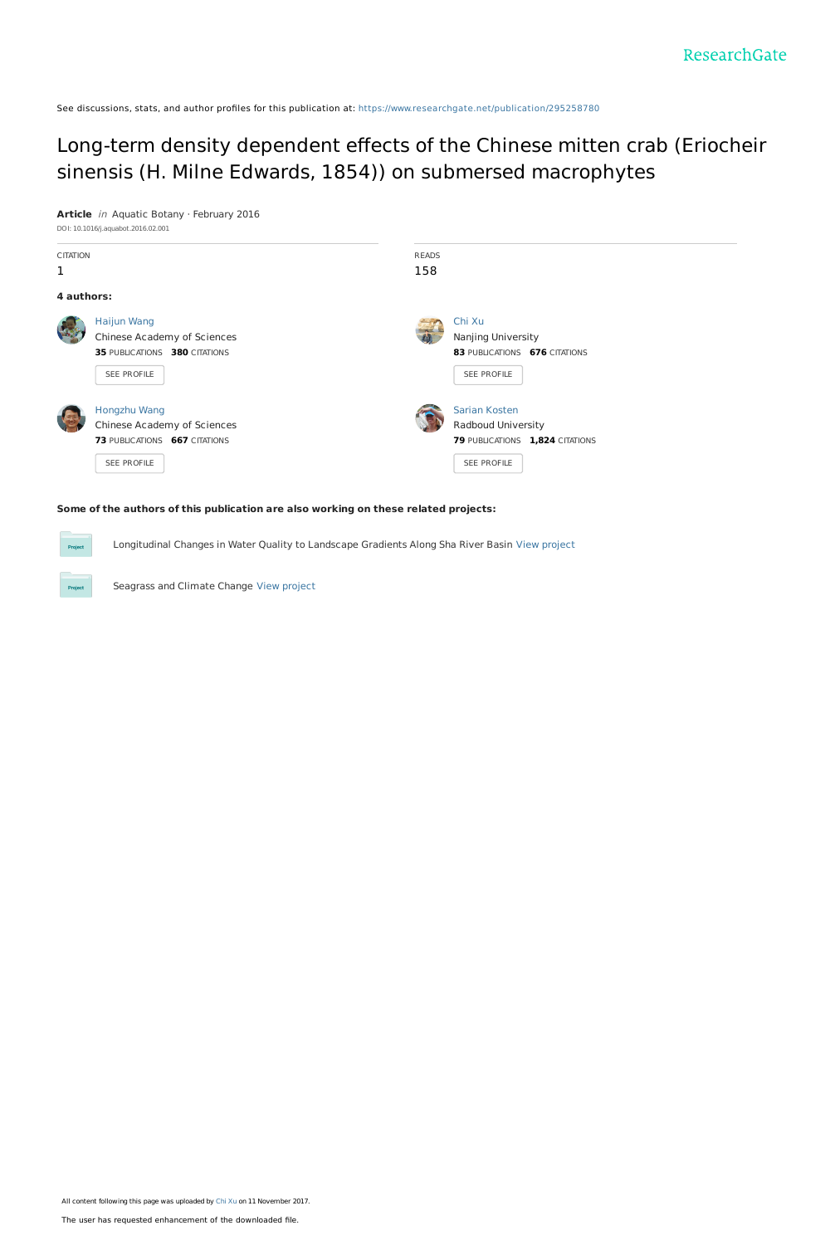See discussions, stats, and author profiles for this publication at: [https://www.researchgate.net/publication/295258780](https://www.researchgate.net/publication/295258780_Long-term_density_dependent_effects_of_the_Chinese_mitten_crab_Eriocheir_sinensis_H_Milne_Edwards_1854_on_submersed_macrophytes?enrichId=rgreq-38d7a200391a8462a0ea5cc9295a5e06-XXX&enrichSource=Y292ZXJQYWdlOzI5NTI1ODc4MDtBUzo1NTkzNjcwODI3Mzc2NjRAMTUxMDM3NDkxMzU0MA%3D%3D&el=1_x_2&_esc=publicationCoverPdf)

### Long-term density dependent effects of the Chinese mitten crab (Eriocheir sinensis (H. Milne Edwards, 1854)) on submersed [macrophytes](https://www.researchgate.net/publication/295258780_Long-term_density_dependent_effects_of_the_Chinese_mitten_crab_Eriocheir_sinensis_H_Milne_Edwards_1854_on_submersed_macrophytes?enrichId=rgreq-38d7a200391a8462a0ea5cc9295a5e06-XXX&enrichSource=Y292ZXJQYWdlOzI5NTI1ODc4MDtBUzo1NTkzNjcwODI3Mzc2NjRAMTUxMDM3NDkxMzU0MA%3D%3D&el=1_x_3&_esc=publicationCoverPdf)

**Article** in Aquatic Botany · February 2016 DOI: 10.1016/j.aquabot.2016.02.001

| <b>CITATION</b><br>1 |                               | <b>READS</b><br>158 |                                 |  |
|----------------------|-------------------------------|---------------------|---------------------------------|--|
|                      |                               |                     |                                 |  |
| 4 authors:           |                               |                     |                                 |  |
|                      | <b>Haijun Wang</b>            |                     | Chi Xu                          |  |
|                      | Chinese Academy of Sciences   |                     | Nanjing University              |  |
|                      | 35 PUBLICATIONS 380 CITATIONS |                     | 83 PUBLICATIONS 676 CITATIONS   |  |
|                      | SEE PROFILE                   |                     | SEE PROFILE                     |  |
|                      | Hongzhu Wang                  |                     | Sarian Kosten                   |  |
|                      | Chinese Academy of Sciences   |                     | Radboud University              |  |
|                      | 73 PUBLICATIONS 667 CITATIONS |                     | 79 PUBLICATIONS 1,824 CITATIONS |  |
|                      | SEE PROFILE                   |                     | SEE PROFILE                     |  |
|                      |                               |                     |                                 |  |

#### **Some of the authors of this publication are also working on these related projects:**

Longitudinal Changes in Water Quality to Landscape Gradients Along Sha River Basin View [project](https://www.researchgate.net/project/Longitudinal-Changes-in-Water-Quality-to-Landscape-Gradients-Along-Sha-River-Basin?enrichId=rgreq-38d7a200391a8462a0ea5cc9295a5e06-XXX&enrichSource=Y292ZXJQYWdlOzI5NTI1ODc4MDtBUzo1NTkzNjcwODI3Mzc2NjRAMTUxMDM3NDkxMzU0MA%3D%3D&el=1_x_9&_esc=publicationCoverPdf)

Seagrass and Climate Change View [project](https://www.researchgate.net/project/Seagrass-and-Climate-Change?enrichId=rgreq-38d7a200391a8462a0ea5cc9295a5e06-XXX&enrichSource=Y292ZXJQYWdlOzI5NTI1ODc4MDtBUzo1NTkzNjcwODI3Mzc2NjRAMTUxMDM3NDkxMzU0MA%3D%3D&el=1_x_9&_esc=publicationCoverPdf)

Project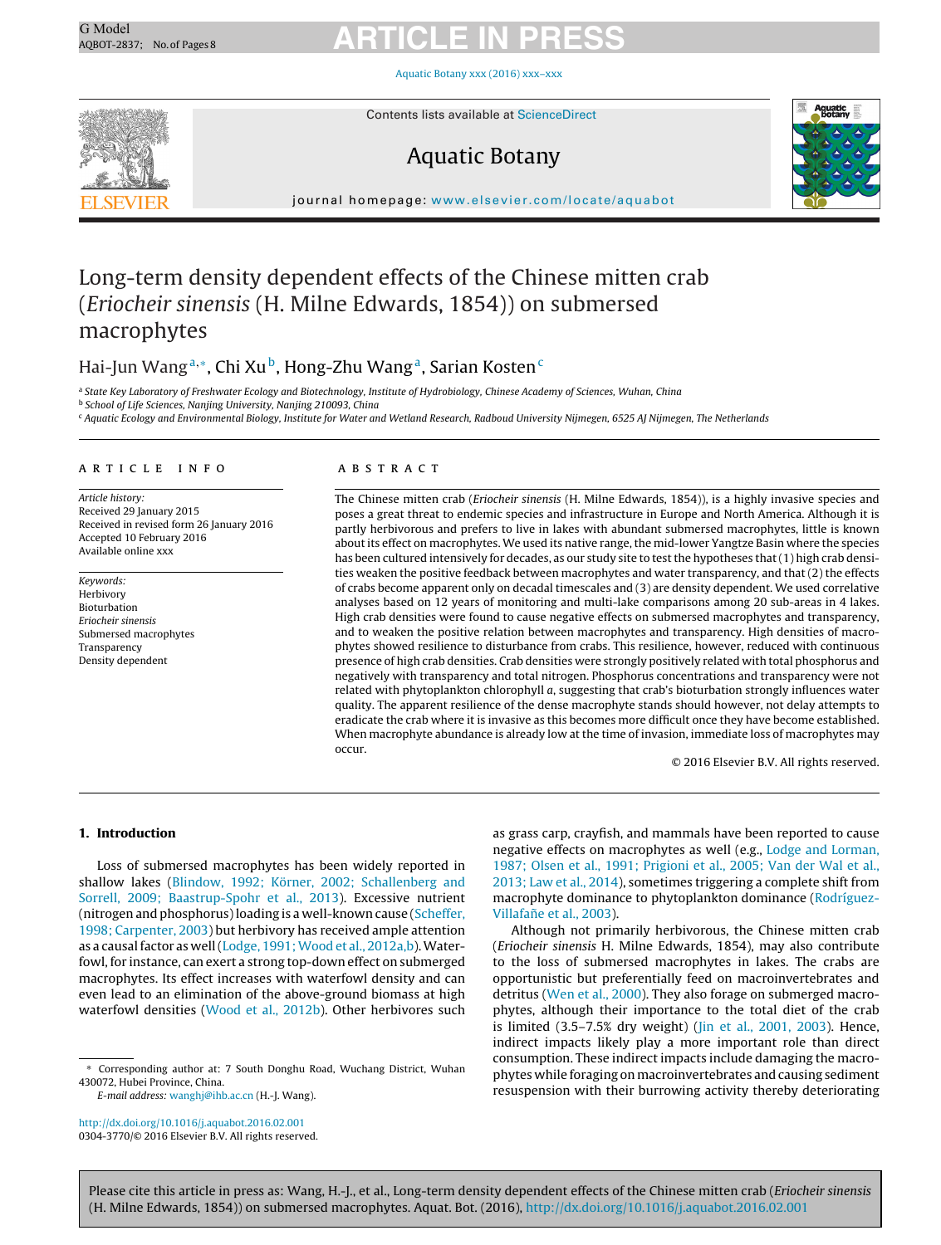Aquatic Botany xxx (2016) [xxx–xxx](dx.doi.org/10.1016/j.aquabot.2016.02.001)



Contents lists available at [ScienceDirect](http://www.sciencedirect.com/science/journal/03043770)

### Aquatic Botany



journal homepage: [www.elsevier.com/locate/aquabot](http://www.elsevier.com/locate/aquabot)

### Long-term density dependent effects of the Chinese mitten crab (Eriocheir sinensis (H. Milne Edwards, 1854)) on submersed macrophytes

### Hai-Jun Wang<sup>a,∗</sup>, Chi Xu<sup>b</sup>, Hong-Zhu Wang<sup>a</sup>, Sarian Kosten<sup>c</sup>

a State Key Laboratory of Freshwater Ecology and Biotechnology, Institute of Hydrobiology, Chinese Academy of Sciences, Wuhan, China <sup>b</sup> School of Life Sciences, Nanjing University, Nanjing 210093, China

<sup>c</sup> Aquatic Ecology and Environmental Biology, Institute for Water and Wetland Research, Radboud University Nijmegen, 6525 AJ Nijmegen, The Netherlands

#### a r t i c l e i n f o

Article history: Received 29 January 2015 Received in revised form 26 January 2016 Accepted 10 February 2016 Available online xxx

Keywords: Herbivory Bioturbation Eriocheir sinensis Submersed macrophytes **Transparency** Density dependent

#### a b s t r a c t

The Chinese mitten crab (Eriocheir sinensis (H. Milne Edwards, 1854)), is a highly invasive species and poses a great threat to endemic species and infrastructure in Europe and North America. Although it is partly herbivorous and prefers to live in lakes with abundant submersed macrophytes, little is known about its effect on macrophytes. We used its native range, the mid-lower Yangtze Basin where the species has been cultured intensively for decades, as our study site to test the hypotheses that (1) high crab densities weaken the positive feedback between macrophytes and water transparency, and that (2) the effects of crabs become apparent only on decadal timescales and (3) are density dependent. We used correlative analyses based on 12 years of monitoring and multi-lake comparisons among 20 sub-areas in 4 lakes. High crab densities were found to cause negative effects on submersed macrophytes and transparency, and to weaken the positive relation between macrophytes and transparency. High densities of macrophytes showed resilience to disturbance from crabs. This resilience, however, reduced with continuous presence of high crab densities. Crab densities were strongly positively related with total phosphorus and negatively with transparency and total nitrogen. Phosphorus concentrations and transparency were not related with phytoplankton chlorophyll a, suggesting that crab's bioturbation strongly influences water quality. The apparent resilience of the dense macrophyte stands should however, not delay attempts to eradicate the crab where it is invasive as this becomes more difficult once they have become established. When macrophyte abundance is already low at the time of invasion, immediate loss of macrophytes may occur.

© 2016 Elsevier B.V. All rights reserved.

#### **1. Introduction**

Loss of submersed macrophytes has been widely reported in shallow lakes ([Blindow,](#page-8-0) [1992;](#page-8-0) [Körner,](#page-8-0) [2002;](#page-8-0) [Schallenberg](#page-8-0) [and](#page-8-0) [Sorrell,](#page-8-0) [2009;](#page-8-0) [Baastrup-Spohr](#page-8-0) et [al.,](#page-8-0) [2013\).](#page-8-0) Excessive nutrient (nitrogen and phosphorus)loading is a well-known cause [\(Scheffer,](#page-8-0) [1998;](#page-8-0) [Carpenter,](#page-8-0) [2003\)](#page-8-0) but herbivory has received ample attention as a causal factor as well [\(Lodge,](#page-8-0) 1991; Wood et [al.,](#page-8-0) [2012a,b\).](#page-8-0) Waterfowl, for instance, can exert a strong top-down effect on submerged macrophytes. Its effect increases with waterfowl density and can even lead to an elimination of the above-ground biomass at high waterfowl densities [\(Wood](#page-8-0) et [al.,](#page-8-0) [2012b\).](#page-8-0) Other herbivores such

∗ Corresponding author at: 7 South Donghu Road, Wuchang District, Wuhan 430072, Hubei Province, China.

E-mail address: [wanghj@ihb.ac.cn](mailto:wanghj@ihb.ac.cn) (H.-J. Wang).

[http://dx.doi.org/10.1016/j.aquabot.2016.02.001](dx.doi.org/10.1016/j.aquabot.2016.02.001) 0304-3770/© 2016 Elsevier B.V. All rights reserved. as grass carp, crayfish, and mammals have been reported to cause negative effects on macrophytes as well (e.g., [Lodge](#page-8-0) [and](#page-8-0) [Lorman,](#page-8-0) [1987;](#page-8-0) [Olsen](#page-8-0) et [al.,](#page-8-0) [1991;](#page-8-0) [Prigioni](#page-8-0) et [al.,](#page-8-0) [2005;](#page-8-0) [Van](#page-8-0) [der](#page-8-0) [Wal](#page-8-0) et [al.,](#page-8-0) [2013;](#page-8-0) [Law](#page-8-0) et [al.,](#page-8-0) [2014\),](#page-8-0) sometimes triggering a complete shift from macrophyte dominance to phytoplankton dominance ([Rodríguez](#page-8-0)Villafañe et [al.,](#page-8-0) [2003\).](#page-8-0)

Although not primarily herbivorous, the Chinese mitten crab (Eriocheir sinensis H. Milne Edwards, 1854), may also contribute to the loss of submersed macrophytes in lakes. The crabs are opportunistic but preferentially feed on macroinvertebrates and detritus [\(Wen](#page-8-0) et [al.,](#page-8-0) [2000\).](#page-8-0) They also forage on submerged macrophytes, although their importance to the total diet of the crab is limited (3.5–7.5% dry weight) [\(Jin](#page-8-0) et [al.,](#page-8-0) [2001,](#page-8-0) [2003\).](#page-8-0) Hence, indirect impacts likely play a more important role than direct consumption. These indirect impacts include damaging the macrophytes while foraging on macroinvertebrates and causing sediment resuspension with their burrowing activity thereby deteriorating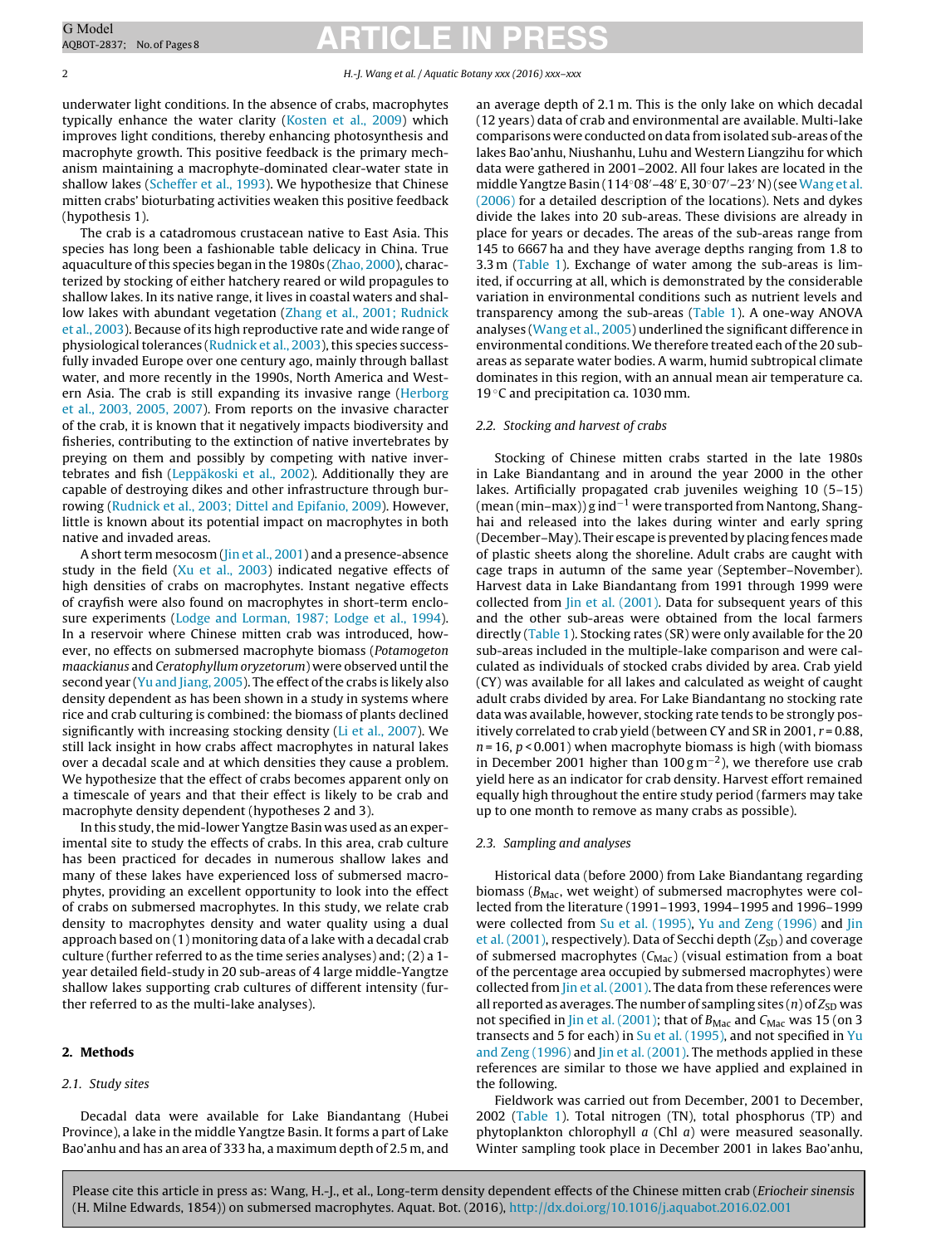underwater light conditions. In the absence of crabs, macrophytes typically enhance the water clarity ([Kosten](#page-8-0) et [al.,](#page-8-0) [2009\)](#page-8-0) which improves light conditions, thereby enhancing photosynthesis and macrophyte growth. This positive feedback is the primary mechanism maintaining a macrophyte-dominated clear-water state in shallow lakes ([Scheffer](#page-8-0) et [al.,](#page-8-0) [1993\).](#page-8-0) We hypothesize that Chinese mitten crabs' bioturbating activities weaken this positive feedback (hypothesis 1).

The crab is a catadromous crustacean native to East Asia. This species has long been a fashionable table delicacy in China. True aquaculture of this species began in the 1980s [\(Zhao,](#page-8-0) [2000\),](#page-8-0) characterized by stocking of either hatchery reared or wild propagules to shallow lakes. In its native range, it lives in coastal waters and shallow lakes with abundant vegetation [\(Zhang](#page-8-0) et [al.,](#page-8-0) [2001;](#page-8-0) [Rudnick](#page-8-0) et [al.,](#page-8-0) [2003\).](#page-8-0) Because of its high reproductive rate and wide range of physiological tolerances ([Rudnick](#page-8-0) et [al.,](#page-8-0) [2003\),](#page-8-0) this species successfully invaded Europe over one century ago, mainly through ballast water, and more recently in the 1990s, North America and Western Asia. The crab is still expanding its invasive range [\(Herborg](#page-8-0) et [al.,](#page-8-0) [2003,](#page-8-0) [2005,](#page-8-0) [2007\).](#page-8-0) From reports on the invasive character of the crab, it is known that it negatively impacts biodiversity and fisheries, contributing to the extinction of native invertebrates by preying on them and possibly by competing with native invertebrates and fish ([Leppäkoski](#page-8-0) et [al.,](#page-8-0) [2002\).](#page-8-0) Additionally they are capable of destroying dikes and other infrastructure through burrowing [\(Rudnick](#page-8-0) et [al.,](#page-8-0) [2003;](#page-8-0) [Dittel](#page-8-0) [and](#page-8-0) [Epifanio,](#page-8-0) [2009\).](#page-8-0) However, little is known about its potential impact on macrophytes in both native and invaded areas.

A short term mesocosm [\(Jin](#page-8-0) et [al.,](#page-8-0) [2001\)](#page-8-0) and a presence-absence study in the field [\(Xu](#page-8-0) et [al.,](#page-8-0) [2003\)](#page-8-0) indicated negative effects of high densities of crabs on macrophytes. Instant negative effects of crayfish were also found on macrophytes in short-term enclosure experiments ([Lodge](#page-8-0) [and](#page-8-0) [Lorman,](#page-8-0) [1987;](#page-8-0) [Lodge](#page-8-0) et [al.,](#page-8-0) [1994\).](#page-8-0) In a reservoir where Chinese mitten crab was introduced, however, no effects on submersed macrophyte biomass (Potamogeton maackianus and Ceratophyllum oryzetorum) were observed until the second year [\(Yu](#page-8-0) [and](#page-8-0) [Jiang,](#page-8-0) [2005\).](#page-8-0) The effect of the crabs is likely also density dependent as has been shown in a study in systems where rice and crab culturing is combined: the biomass of plants declined significantly with increasing stocking density [\(Li](#page-8-0) et [al.,](#page-8-0) [2007\).](#page-8-0) We still lack insight in how crabs affect macrophytes in natural lakes over a decadal scale and at which densities they cause a problem. We hypothesize that the effect of crabs becomes apparent only on a timescale of years and that their effect is likely to be crab and macrophyte density dependent (hypotheses 2 and 3).

In this study, the mid-lower Yangtze Basin was used as an experimental site to study the effects of crabs. In this area, crab culture has been practiced for decades in numerous shallow lakes and many of these lakes have experienced loss of submersed macrophytes, providing an excellent opportunity to look into the effect of crabs on submersed macrophytes. In this study, we relate crab density to macrophytes density and water quality using a dual approach based on (1) monitoring data of a lake with a decadal crab culture (further referred to as the time series analyses) and; (2) a 1 year detailed field-study in 20 sub-areas of 4 large middle-Yangtze shallow lakes supporting crab cultures of different intensity (further referred to as the multi-lake analyses).

#### **2. Methods**

#### 2.1. Study sites

Decadal data were available for Lake Biandantang (Hubei Province), a lake in the middle Yangtze Basin. It forms a part of Lake Bao'anhu and has an area of 333 ha, a maximum depth of 2.5 m, and an average depth of 2.1 m. This is the only lake on which decadal (12 years) data of crab and environmental are available. Multi-lake comparisons were conducted on data from isolated sub-areas of the lakes Bao'anhu, Niushanhu, Luhu and Western Liangzihu for which data were gathered in 2001–2002. All four lakes are located in the middle Yangtze Basin (114◦08 –48 E, 30◦07 –23 N)(see[Wang](#page-8-0) et [al.](#page-8-0) [\(2006\)](#page-8-0) for a detailed description of the locations). Nets and dykes divide the lakes into 20 sub-areas. These divisions are already in place for years or decades. The areas of the sub-areas range from 145 to 6667 ha and they have average depths ranging from 1.8 to 3.3 m [\(Table](#page-3-0) 1). Exchange of water among the sub-areas is limited, if occurring at all, which is demonstrated by the considerable variation in environmental conditions such as nutrient levels and transparency among the sub-areas ([Table](#page-3-0) 1). A one-way ANOVA analyses [\(Wang](#page-8-0) et [al.,](#page-8-0) [2005\)](#page-8-0) underlined the significant difference in environmental conditions. We therefore treated each of the 20 subareas as separate water bodies. A warm, humid subtropical climate dominates in this region, with an annual mean air temperature ca. 19 °C and precipitation ca. 1030 mm.

#### 2.2. Stocking and harvest of crabs

Stocking of Chinese mitten crabs started in the late 1980s in Lake Biandantang and in around the year 2000 in the other lakes. Artificially propagated crab juveniles weighing 10 (5–15) (mean (min–max)) g ind−<sup>1</sup> were transported from Nantong, Shanghai and released into the lakes during winter and early spring (December–May). Their escape is prevented by placing fencesmade of plastic sheets along the shoreline. Adult crabs are caught with cage traps in autumn of the same year (September–November). Harvest data in Lake Biandantang from 1991 through 1999 were collected from [Jin](#page-8-0) et [al.](#page-8-0) [\(2001\).](#page-8-0) Data for subsequent years of this and the other sub-areas were obtained from the local farmers directly [\(Table](#page-3-0) 1). Stocking rates (SR) were only available for the 20 sub-areas included in the multiple-lake comparison and were calculated as individuals of stocked crabs divided by area. Crab yield (CY) was available for all lakes and calculated as weight of caught adult crabs divided by area. For Lake Biandantang no stocking rate data was available, however, stocking rate tends to be strongly positively correlated to crab yield (between CY and SR in 2001,  $r = 0.88$ ,  $n = 16$ ,  $p < 0.001$ ) when macrophyte biomass is high (with biomass in December 2001 higher than 100 g m<sup>-2</sup>), we therefore use crab yield here as an indicator for crab density. Harvest effort remained equally high throughout the entire study period (farmers may take up to one month to remove as many crabs as possible).

#### 2.3. Sampling and analyses

Historical data (before 2000) from Lake Biandantang regarding biomass ( $B_{\text{Mac}}$ , wet weight) of submersed macrophytes were collected from the literature (1991–1993, 1994–1995 and 1996–1999 were collected from [Su](#page-8-0) et [al.](#page-8-0) [\(1995\),](#page-8-0) [Yu](#page-8-0) [and](#page-8-0) [Zeng](#page-8-0) [\(1996\)](#page-8-0) and [Jin](#page-8-0) et [al.](#page-8-0) [\(2001\),](#page-8-0) respectively). Data of Secchi depth ( $Z_{SD}$ ) and coverage of submersed macrophytes  $(C_{\text{Mac}})$  (visual estimation from a boat of the percentage area occupied by submersed macrophytes) were collected from [Jin](#page-8-0) et [al.\(2001\).](#page-8-0) The data from these references were all reported as averages. The number of sampling sites  $(n)$  of  $Z_{SD}$  was not specified in [Jin](#page-8-0) et [al.](#page-8-0) [\(2001\);](#page-8-0) that of  $B_{\text{Mac}}$  and  $C_{\text{Mac}}$  was 15 (on 3 transects and 5 for each) in [Su](#page-8-0) et [al.](#page-8-0) [\(1995\),](#page-8-0) and not specified in [Yu](#page-8-0) [and](#page-8-0) [Zeng](#page-8-0) [\(1996\)](#page-8-0) and [Jin](#page-8-0) et [al.](#page-8-0) [\(2001\).](#page-8-0) The methods applied in these references are similar to those we have applied and explained in the following.

Fieldwork was carried out from December, 2001 to December, 2002 ([Table](#page-3-0) 1). Total nitrogen (TN), total phosphorus (TP) and phytoplankton chlorophyll  $a$  (Chl  $a$ ) were measured seasonally. Winter sampling took place in December 2001 in lakes Bao'anhu,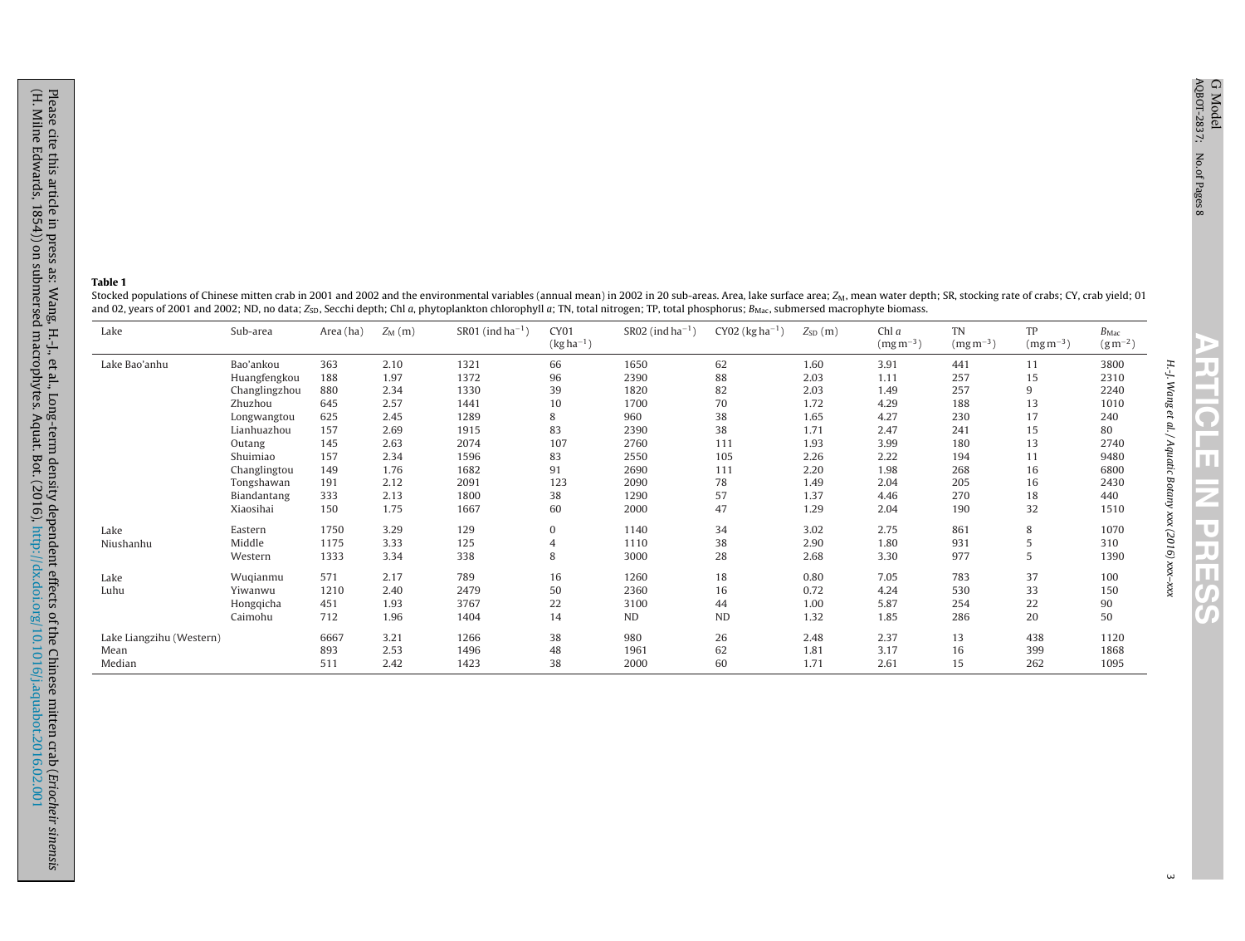H.-J.

Wang et al. / Aquatic

Botany xxx (2016) **RTICLE IN PRESS** 

xxx–xxx

#### <span id="page-3-0"></span>**Table 1**

Stocked populations of Chinese mitten crab in 2001 and 2002 and the environmental variables (annual mean) in 2002 in 20 sub-areas. Area, lake surface area; Z<sub>M</sub>, mean water depth; SR, stocking rate of crabs; CY, crab yield and 02, years of 2001 and 2002; ND, no data; Z<sub>SD</sub>, Secchi depth; Chl a, phytoplankton chlorophyll a; TN, total nitrogen; TP, total phosphorus; B<sub>Mac</sub>, submersed macrophyte biomass.

| Lake                     | Sub-area      | Area (ha) | $Z_{\rm M}$ (m) | SR01 (ind ha <sup><math>-1</math></sup> ) | CY01<br>$(kg ha^{-1})$ | $SR02$ (ind ha <sup>-1</sup> ) | $CY02$ (kg ha <sup>-1</sup> ) | $Z_{SD}(m)$ | Chl a<br>$(mg\,m^{-3})$ | <b>TN</b><br>$(mg\,m^{-3})$ | TP<br>$(mg\,m^{-3})$ | $B_{\text{Mac}}$<br>$(g m^{-2})$ |
|--------------------------|---------------|-----------|-----------------|-------------------------------------------|------------------------|--------------------------------|-------------------------------|-------------|-------------------------|-----------------------------|----------------------|----------------------------------|
| Lake Bao'anhu            | Bao'ankou     | 363       | 2.10            | 1321                                      | 66                     | 1650                           | 62                            | 1.60        | 3.91                    | 441                         | 11                   | 3800                             |
|                          | Huangfengkou  | 188       | 1.97            | 1372                                      | 96                     | 2390                           | 88                            | 2.03        | 1.11                    | 257                         | 15                   | 2310                             |
|                          | Changlingzhou | 880       | 2.34            | 1330                                      | 39                     | 1820                           | 82                            | 2.03        | 1.49                    | 257                         | 9                    | 2240                             |
|                          | Zhuzhou       | 645       | 2.57            | 1441                                      | 10                     | 1700                           | 70                            | 1.72        | 4.29                    | 188                         | 13                   | 1010                             |
|                          | Longwangtou   | 625       | 2.45            | 1289                                      | 8                      | 960                            | 38                            | 1.65        | 4.27                    | 230                         | 17                   | 240                              |
|                          | Lianhuazhou   | 157       | 2.69            | 1915                                      | 83                     | 2390                           | 38                            | 1.71        | 2.47                    | 241                         | 15                   | 80                               |
|                          | Outang        | 145       | 2.63            | 2074                                      | 107                    | 2760                           | 111                           | 1.93        | 3.99                    | 180                         | 13                   | 2740                             |
|                          | Shuimiao      | 157       | 2.34            | 1596                                      | 83                     | 2550                           | 105                           | 2.26        | 2.22                    | 194                         | 11                   | 9480                             |
|                          | Changlingtou  | 149       | 1.76            | 1682                                      | 91                     | 2690                           | 111                           | 2.20        | 1.98                    | 268                         | 16                   | 6800                             |
|                          | Tongshawan    | 191       | 2.12            | 2091                                      | 123                    | 2090                           | 78                            | 1.49        | 2.04                    | 205                         | 16                   | 2430                             |
|                          | Biandantang   | 333       | 2.13            | 1800                                      | 38                     | 1290                           | 57                            | 1.37        | 4.46                    | 270                         | 18                   | 440                              |
|                          | Xiaosihai     | 150       | 1.75            | 1667                                      | 60                     | 2000                           | 47                            | 1.29        | 2.04                    | 190                         | 32                   | 1510                             |
| Lake                     | Eastern       | 1750      | 3.29            | 129                                       | 0                      | 1140                           | 34                            | 3.02        | 2.75                    | 861                         | 8                    | 1070                             |
| Niushanhu                | Middle        | 1175      | 3.33            | 125                                       | $\overline{4}$         | 1110                           | 38                            | 2.90        | 1.80                    | 931                         | 5                    | 310                              |
|                          | Western       | 1333      | 3.34            | 338                                       | 8                      | 3000                           | 28                            | 2.68        | 3.30                    | 977                         | 5                    | 1390                             |
| Lake                     | Wuqianmu      | 571       | 2.17            | 789                                       | 16                     | 1260                           | 18                            | 0.80        | 7.05                    | 783                         | 37                   | 100                              |
| Luhu                     | Yiwanwu       | 1210      | 2.40            | 2479                                      | 50                     | 2360                           | 16                            | 0.72        | 4.24                    | 530                         | 33                   | 150                              |
|                          | Hongqicha     | 451       | 1.93            | 3767                                      | 22                     | 3100                           | 44                            | 1.00        | 5.87                    | 254                         | 22                   | 90                               |
|                          | Caimohu       | 712       | 1.96            | 1404                                      | 14                     | ND                             | <b>ND</b>                     | 1.32        | 1.85                    | 286                         | 20                   | 50                               |
| Lake Liangzihu (Western) |               | 6667      | 3.21            | 1266                                      | 38                     | 980                            | 26                            | 2.48        | 2.37                    | 13                          | 438                  | 1120                             |
| Mean                     |               | 893       | 2.53            | 1496                                      | 48                     | 1961                           | 62                            | 1.81        | 3.17                    | 16                          | 399                  | 1868                             |
| Median                   |               | 511       | 2.42            | 1423                                      | 38                     | 2000                           | 60                            | 1.71        | 2.61                    | 15                          | 262                  | 1095                             |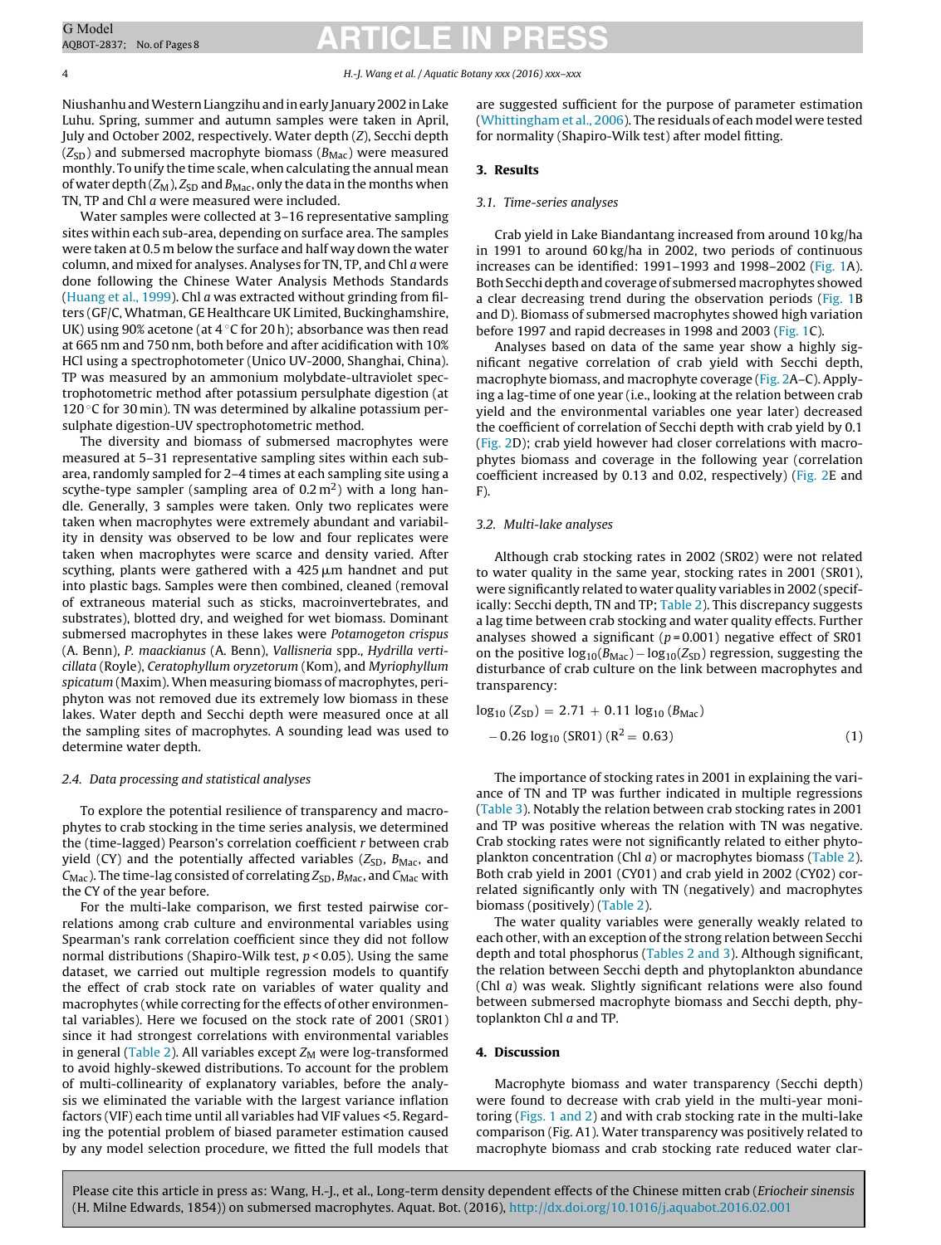#### 4 H.-J. Wang et al. / Aquatic Botany xxx (2016) xxx–xxx

NiushanhuandWesternLiangzihuandinearly January 2002 inLake Luhu. Spring, summer and autumn samples were taken in April, July and October 2002, respectively. Water depth (Z), Secchi depth  $(Z_{SD})$  and submersed macrophyte biomass ( $B_{Mac}$ ) were measured monthly. To unify the time scale, when calculating the annual mean of water depth  $(Z_M)$ ,  $Z_{SD}$  and  $B_{Mac}$ , only the data in the months when TN, TP and Chl a were measured were included.

Water samples were collected at 3–16 representative sampling sites within each sub-area, depending on surface area. The samples were taken at 0.5 m below the surface and half way down the water column, and mixed for analyses. Analyses for TN, TP, and Chl a were done following the Chinese Water Analysis Methods Standards ([Huang](#page-8-0) et [al.,](#page-8-0) [1999\).](#page-8-0) Chl a was extracted without grinding from filters (GF/C, Whatman, GE Healthcare UK Limited, Buckinghamshire, UK) using 90% acetone (at  $4^{\circ}$ C for 20 h); absorbance was then read at 665 nm and 750 nm, both before and after acidification with 10% HCl using a spectrophotometer (Unico UV-2000, Shanghai, China). TP was measured by an ammonium molybdate-ultraviolet spectrophotometric method after potassium persulphate digestion (at 120 $\degree$ C for 30 min). TN was determined by alkaline potassium persulphate digestion-UV spectrophotometric method.

The diversity and biomass of submersed macrophytes were measured at 5–31 representative sampling sites within each subarea, randomly sampled for 2–4 times at each sampling site using a scythe-type sampler (sampling area of  $0.2 \text{ m}^2$ ) with a long handle. Generally, 3 samples were taken. Only two replicates were taken when macrophytes were extremely abundant and variability in density was observed to be low and four replicates were taken when macrophytes were scarce and density varied. After scything, plants were gathered with a 425  $\mu$ m handnet and put into plastic bags. Samples were then combined, cleaned (removal of extraneous material such as sticks, macroinvertebrates, and substrates), blotted dry, and weighed for wet biomass. Dominant submersed macrophytes in these lakes were Potamogeton crispus (A. Benn), P. maackianus (A. Benn), Vallisneria spp., Hydrilla verticillata (Royle), Ceratophyllum oryzetorum (Kom), and Myriophyllum spicatum (Maxim). When measuring biomass of macrophytes, periphyton was not removed due its extremely low biomass in these lakes. Water depth and Secchi depth were measured once at all the sampling sites of macrophytes. A sounding lead was used to determine water depth.

#### 2.4. Data processing and statistical analyses

To explore the potential resilience of transparency and macrophytes to crab stocking in the time series analysis, we determined the (time-lagged) Pearson's correlation coefficient r between crab yield (CY) and the potentially affected variables ( $Z_{SD}$ ,  $B_{Mac}$ , and  $C_{\text{Mac}}$ ). The time-lag consisted of correlating  $Z_{\text{SD}}$ ,  $B_{\text{Mac}}$ , and  $C_{\text{Mac}}$  with the CY of the year before.

For the multi-lake comparison, we first tested pairwise correlations among crab culture and environmental variables using Spearman's rank correlation coefficient since they did not follow normal distributions (Shapiro-Wilk test,  $p < 0.05$ ). Using the same dataset, we carried out multiple regression models to quantify the effect of crab stock rate on variables of water quality and macrophytes (while correcting for the effects of other environmental variables). Here we focused on the stock rate of 2001 (SR01) since it had strongest correlations with environmental variables in general [\(Table](#page-5-0) 2). All variables except  $Z_M$  were log-transformed to avoid highly-skewed distributions. To account for the problem of multi-collinearity of explanatory variables, before the analysis we eliminated the variable with the largest variance inflation factors (VIF) each time until all variables had VIF values <5. Regarding the potential problem of biased parameter estimation caused by any model selection procedure, we fitted the full models that are suggested sufficient for the purpose of parameter estimation [\(Whittingham](#page-8-0) et [al.,](#page-8-0) [2006\).](#page-8-0) The residuals of each model were tested for normality (Shapiro-Wilk test) after model fitting.

#### **3. Results**

#### 3.1. Time-series analyses

Crab yield in Lake Biandantang increased from around 10 kg/ha in 1991 to around 60 kg/ha in 2002, two periods of continuous increases can be identified: 1991–1993 and 1998–2002 ([Fig.](#page-5-0) 1A). Both Secchi depth and coverage of submersed macrophytes showed a clear decreasing trend during the observation periods ([Fig.](#page-5-0) 1B and D). Biomass of submersed macrophytes showed high variation before 1997 and rapid decreases in 1998 and 2003 [\(Fig.](#page-5-0) 1C).

Analyses based on data of the same year show a highly significant negative correlation of crab yield with Secchi depth, macrophyte biomass, and macrophyte coverage ([Fig.](#page-6-0) 2A–C). Applying a lag-time of one year (i.e., looking at the relation between crab yield and the environmental variables one year later) decreased the coefficient of correlation of Secchi depth with crab yield by 0.1 [\(Fig.](#page-6-0) 2D); crab yield however had closer correlations with macrophytes biomass and coverage in the following year (correlation coefficient increased by 0.13 and 0.02, respectively) ([Fig.](#page-6-0) 2E and F).

#### 3.2. Multi-lake analyses

Although crab stocking rates in 2002 (SR02) were not related to water quality in the same year, stocking rates in 2001 (SR01), were significantly related to water quality variables in 2002 (specifically: Secchi depth, TN and TP; [Table](#page-5-0) 2). This discrepancy suggests a lag time between crab stocking and water quality effects. Further analyses showed a significant ( $p = 0.001$ ) negative effect of SR01 on the positive  $log_{10}(B_{\text{Mac}}) - log_{10}(Z_{SD})$  regression, suggesting the disturbance of crab culture on the link between macrophytes and transparency:

$$
log_{10} (Z_{SD}) = 2.71 + 0.11 log_{10} (B_{Mac})
$$
  
- 0.26 log<sub>10</sub> (SR01) (R<sup>2</sup> = 0.63) (1)

The importance of stocking rates in 2001 in explaining the variance of TN and TP was further indicated in multiple regressions [\(Table](#page-6-0) 3). Notably the relation between crab stocking rates in 2001 and TP was positive whereas the relation with TN was negative. Crab stocking rates were not significantly related to either phytoplankton concentration (Chl  $a$ ) or macrophytes biomass [\(Table](#page-5-0) 2). Both crab yield in 2001 (CY01) and crab yield in 2002 (CY02) correlated significantly only with TN (negatively) and macrophytes biomass (positively) [\(Table](#page-5-0) 2).

The water quality variables were generally weakly related to each other, with an exception of the strong relation between Secchi depth and total phosphorus [\(Tables](#page-5-0) 2 and 3). Although significant, the relation between Secchi depth and phytoplankton abundance (Chl a) was weak. Slightly significant relations were also found between submersed macrophyte biomass and Secchi depth, phytoplankton Chl a and TP.

#### **4. Discussion**

Macrophyte biomass and water transparency (Secchi depth) were found to decrease with crab yield in the multi-year monitoring ([Figs.](#page-5-0) 1 and 2) and with crab stocking rate in the multi-lake comparison (Fig. A1). Water transparency was positively related to macrophyte biomass and crab stocking rate reduced water clar-

<span id="page-4-0"></span>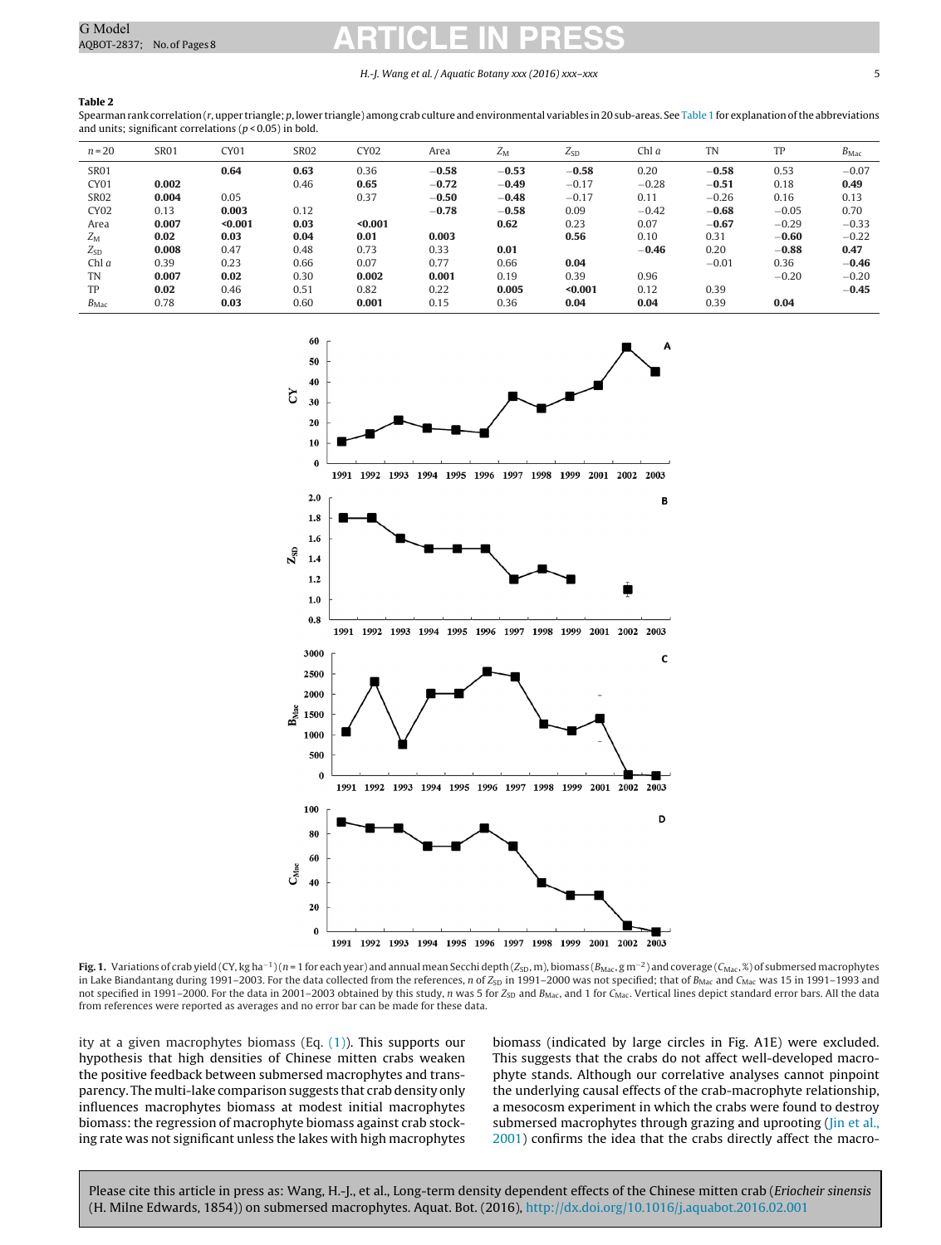#### H.-J. Wang et al. / Aquatic Botany xxx (2016) xxx–xxx 5

#### <span id="page-5-0"></span>**Table 2**

Spearman rank correlation ( $r$ , upper triangle; p, lower triangle) among crab culture and environmental variables in 20 sub-areas. See [Table](#page-3-0) 1 for explanation of the abbreviations and units; significant correlations ( $p$  < 0.05) in bold.

| $n = 20$         | <b>SR01</b> | CY01    | <b>SR02</b> | <b>CY02</b> | Area    | $Z_{\rm M}$ | $\mathcal{L}_{SD}$ | Chl $a$ | <b>TN</b> | TP      | $B_{\text{Mac}}$ |
|------------------|-------------|---------|-------------|-------------|---------|-------------|--------------------|---------|-----------|---------|------------------|
| <b>SR01</b>      |             | 0.64    | 0.63        | 0.36        | $-0.58$ | $-0.53$     | $-0.58$            | 0.20    | $-0.58$   | 0.53    | $-0.07$          |
| CY <sub>01</sub> | 0.002       |         | 0.46        | 0.65        | $-0.72$ | $-0.49$     | $-0.17$            | $-0.28$ | $-0.51$   | 0.18    | 0.49             |
| <b>SR02</b>      | 0.004       | 0.05    |             | 0.37        | $-0.50$ | $-0.48$     | $-0.17$            | 0.11    | $-0.26$   | 0.16    | 0.13             |
| <b>CY02</b>      | 0.13        | 0.003   | 0.12        |             | $-0.78$ | $-0.58$     | 0.09               | $-0.42$ | $-0.68$   | $-0.05$ | 0.70             |
| Area             | 0.007       | < 0.001 | 0.03        | $0.001$     |         | 0.62        | 0.23               | 0.07    | $-0.67$   | $-0.29$ | $-0.33$          |
| $Z_{\rm M}$      | 0.02        | 0.03    | 0.04        | 0.01        | 0.003   |             | 0.56               | 0.10    | 0.31      | $-0.60$ | $-0.22$          |
| $Z_{SD}$         | 0.008       | 0.47    | 0.48        | 0.73        | 0.33    | 0.01        |                    | $-0.46$ | 0.20      | $-0.88$ | 0.47             |
| Chl $a$          | 0.39        | 0.23    | 0.66        | 0.07        | 0.77    | 0.66        | 0.04               |         | $-0.01$   | 0.36    | $-0.46$          |
| TN               | 0.007       | 0.02    | 0.30        | 0.002       | 0.001   | 0.19        | 0.39               | 0.96    |           | $-0.20$ | $-0.20$          |
| TP               | 0.02        | 0.46    | 0.51        | 0.82        | 0.22    | 0.005       | $0.001$            | 0.12    | 0.39      |         | $-0.45$          |
| $B_{\text{Mac}}$ | 0.78        | 0.03    | 0.60        | 0.001       | 0.15    | 0.36        | 0.04               | 0.04    | 0.39      | 0.04    |                  |



**Fig. 1.** Variations of crab yield (CY, kg ha<sup>-1</sup>)(n = 1 for each year) and annual mean Secchi depth (Z<sub>SD</sub>, m), biomass (B<sub>Mac</sub>, g m<sup>-2</sup>) and coverage (C<sub>Mac</sub>, %) of submersed macrophytes in Lake Biandantang during 1991–2003. For the data collected from the references, n of  $Z_{SD}$  in 1991–2000 was not specified; that of  $B_{Mac}$  and  $C_{Mac}$  was 15 in 1991–1993 and not specified in 1991–2000. For the data in 2001–2003 obtained by this study, n was 5 for Z<sub>SD</sub> and B<sub>Mac</sub>, and 1 for C<sub>Mac</sub>. Vertical lines depict standard error bars. All the data from references were reported as averages and no error bar can be made for these data.

ity at a given macrophytes biomass (Eq. [\(1\)\).](#page-4-0) This supports our hypothesis that high densities of Chinese mitten crabs weaken the positive feedback between submersed macrophytes and transparency. The multi-lake comparison suggests that crab density only influences macrophytes biomass at modest initial macrophytes biomass: the regression of macrophyte biomass against crab stocking rate was not significant unless the lakes with high macrophytes

biomass (indicated by large circles in Fig. A1E) were excluded. This suggests that the crabs do not affect well-developed macrophyte stands. Although our correlative analyses cannot pinpoint the underlying causal effects of the crab-macrophyte relationship, a mesocosm experiment in which the crabs were found to destroy submersed macrophytes through grazing and uprooting [\(Jin](#page-8-0) et [al.,](#page-8-0) [2001\)](#page-8-0) confirms the idea that the crabs directly affect the macro-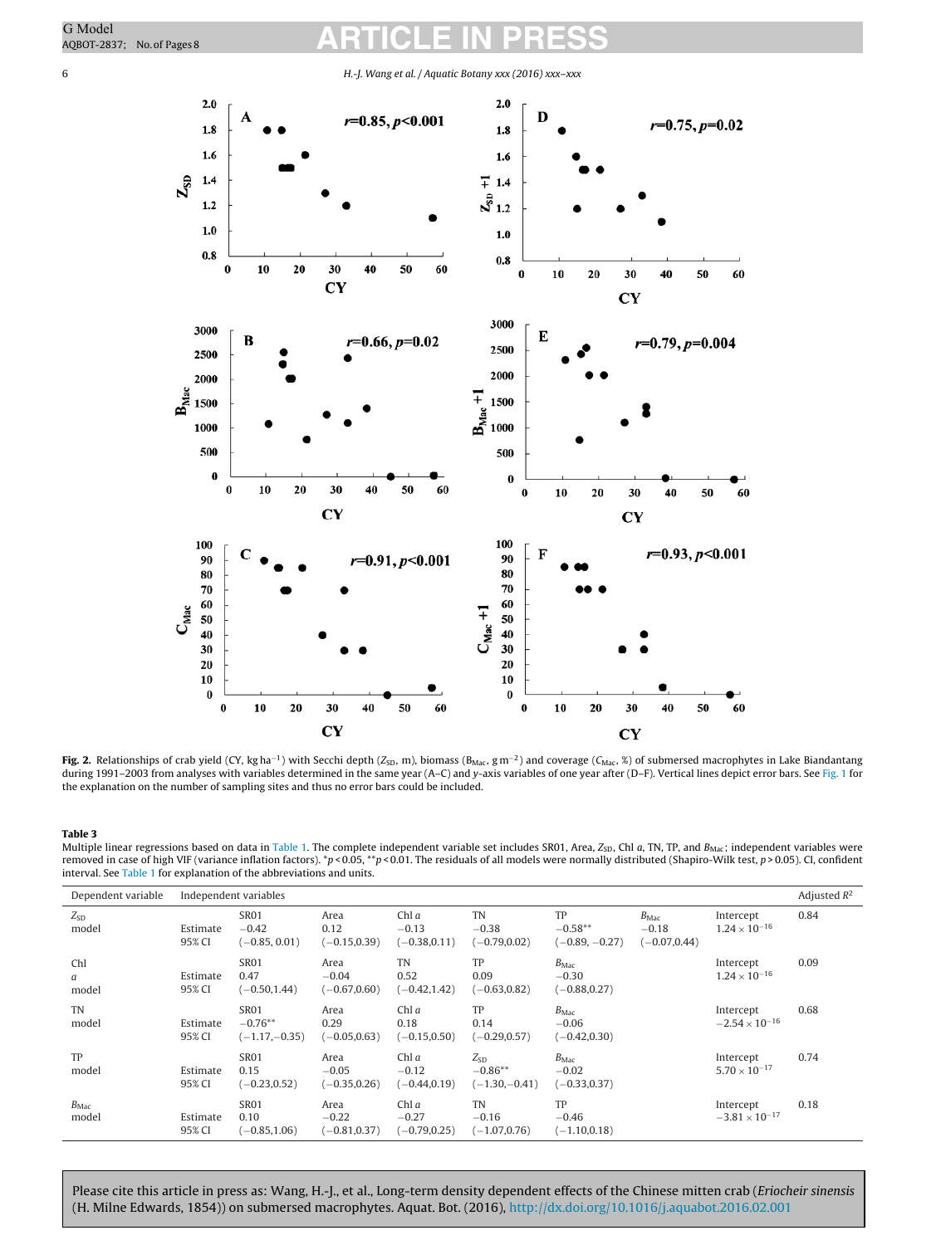<span id="page-6-0"></span>

**Fig.** 2. Relationships of crab yield (CY, kg ha<sup>-1</sup>) with Secchi depth (Z<sub>SD</sub>, m), biomass (B<sub>Mac</sub>, g m<sup>-2</sup>) and coverage (C<sub>Mac</sub>, %) of submersed macrophytes in Lake Biandantang during 1991–2003 from analyses with variables determined in the same year (A–C) and y-axis variables of one year after (D–F). Vertical lines depict error bars. See [Fig.](#page-5-0) 1 for the explanation on the number of sampling sites and thus no error bars could be included.

#### **Table 3**

Multiple linear regressions based on data in [Table](#page-3-0) 1. The complete independent variable set includes SR01, Area,  $Z_{SD}$ , Chl a, TN, TP, and  $B_{Mac}$ ; independent variables were removed in case of high VIF (variance inflation factors). \*p < 0.05, \*\*p < 0.01. The residuals of all models were normally distributed (Shapiro-Wilk test, p > 0.05). CI, confident interval. See [Table](#page-3-0) 1 for explanation of the abbreviations and units.

| Dependent variable        | Independent variables |                                             |                                    |                                       |                                          |                                                |                                                |                                      |      |  |
|---------------------------|-----------------------|---------------------------------------------|------------------------------------|---------------------------------------|------------------------------------------|------------------------------------------------|------------------------------------------------|--------------------------------------|------|--|
| $Z_{SD}$<br>model         | Estimate<br>95% CI    | <b>SR01</b><br>$-0.42$<br>$(-0.85, 0.01)$   | Area<br>0.12<br>$(-0.15, 0.39)$    | Chl $a$<br>$-0.13$<br>$(-0.38, 0.11)$ | <b>TN</b><br>$-0.38$<br>$(-0.79, 0.02)$  | TP<br>$-0.58**$<br>$(-0.89, -0.27)$            | $B_{\text{Mac}}$<br>$-0.18$<br>$(-0.07, 0.44)$ | Intercept<br>$1.24 \times 10^{-16}$  | 0.84 |  |
| Chl<br>a<br>model         | Estimate<br>95% CI    | <b>SR01</b><br>0.47<br>$(-0.50, 1.44)$      | Area<br>$-0.04$<br>$(-0.67, 0.60)$ | <b>TN</b><br>0.52<br>$(-0.42, 1.42)$  | TP<br>0.09<br>$(-0.63, 0.82)$            | $B_{\text{Mac}}$<br>$-0.30$<br>$(-0.88, 0.27)$ |                                                | Intercept<br>$1.24 \times 10^{-16}$  | 0.09 |  |
| <b>TN</b><br>model        | Estimate<br>95% CI    | <b>SR01</b><br>$-0.76**$<br>$(-1.17,-0.35)$ | Area<br>0.29<br>$(-0.05, 0.63)$    | Chl $a$<br>0.18<br>$(-0.15, 0.50)$    | TP<br>0.14<br>$(-0.29, 0.57)$            | $B_{\text{Mac}}$<br>$-0.06$<br>$(-0.42, 0.30)$ |                                                | Intercept<br>$-2.54 \times 10^{-16}$ | 0.68 |  |
| TP<br>model               | Estimate<br>95% CI    | <b>SR01</b><br>0.15<br>$(-0.23, 0.52)$      | Area<br>$-0.05$<br>$(-0.35, 0.26)$ | Chl $a$<br>$-0.12$<br>$(-0.44, 0.19)$ | $Z_{SD}$<br>$-0.86**$<br>$(-1.30,-0.41)$ | $B_{\text{Mac}}$<br>$-0.02$<br>$(-0.33, 0.37)$ |                                                | Intercept<br>$5.70 \times 10^{-17}$  | 0.74 |  |
| $B_{\text{Mac}}$<br>model | Estimate<br>95% CI    | <b>SR01</b><br>0.10<br>$(-0.85, 1.06)$      | Area<br>$-0.22$<br>$(-0.81, 0.37)$ | Chl $a$<br>$-0.27$<br>$(-0.79, 0.25)$ | TN<br>$-0.16$<br>$(-1.07, 0.76)$         | TP<br>$-0.46$<br>$(-1.10, 0.18)$               |                                                | Intercept<br>$-3.81 \times 10^{-17}$ | 0.18 |  |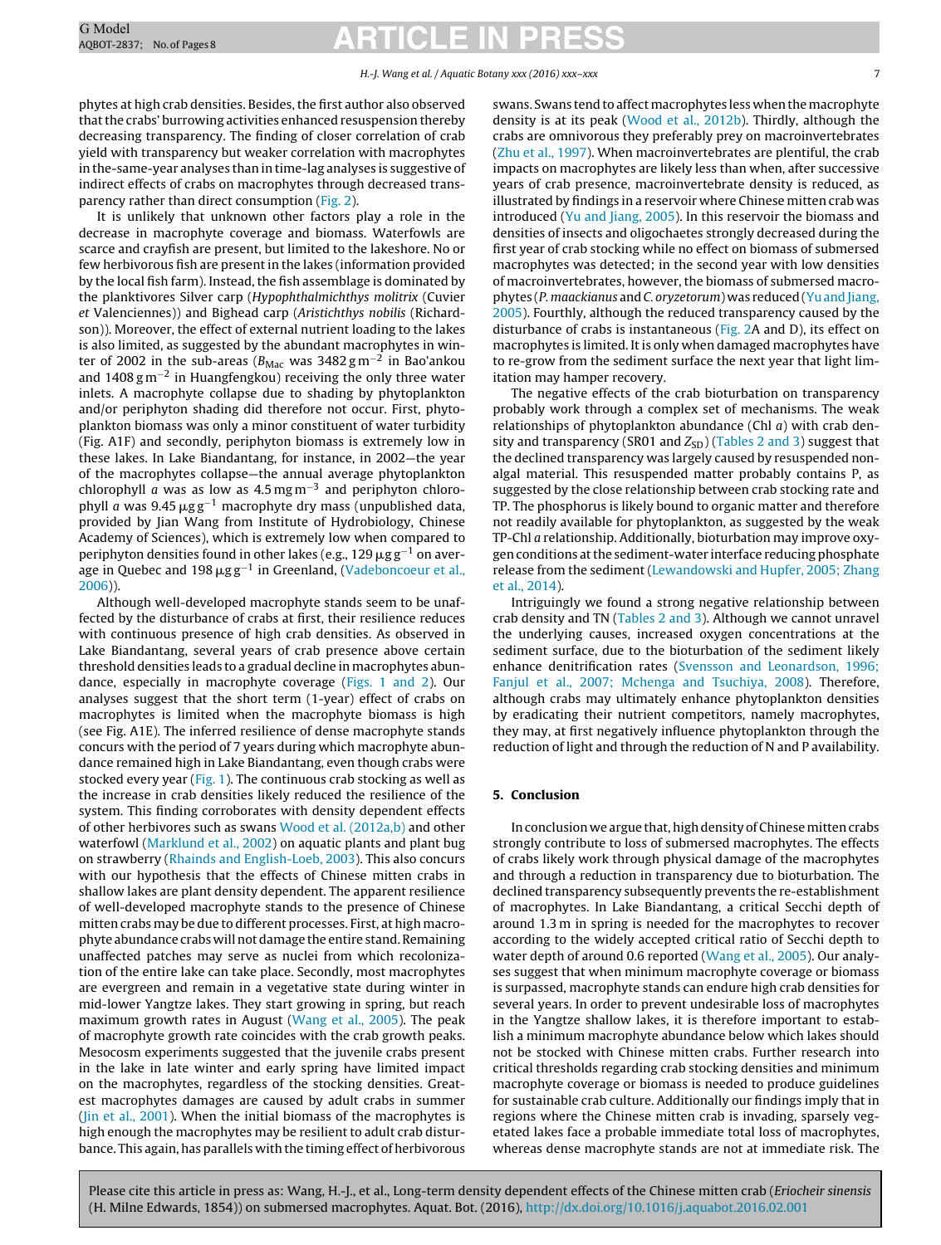#### H.-J. Wang et al. / Aquatic Botany xxx (2016) xxx–xxx 7

phytes at high crab densities. Besides, the first author also observed that the crabs' burrowing activities enhanced resuspension thereby decreasing transparency. The finding of closer correlation of crab yield with transparency but weaker correlation with macrophytes in the-same-year analyses than in time-lag analyses is suggestive of indirect effects of crabs on macrophytes through decreased transparency rather than direct consumption [\(Fig.](#page-6-0) 2).

It is unlikely that unknown other factors play a role in the decrease in macrophyte coverage and biomass. Waterfowls are scarce and crayfish are present, but limited to the lakeshore. No or few herbivorous fish are present in the lakes (information provided by the local fish farm). Instead, the fish assemblage is dominated by the planktivores Silver carp (Hypophthalmichthys molitrix (Cuvier et Valenciennes)) and Bighead carp (Aristichthys nobilis (Richardson)). Moreover, the effect of external nutrient loading to the lakes is also limited, as suggested by the abundant macrophytes in winter of 2002 in the sub-areas ( $B_{\text{Mac}}$  was 3482 g m<sup>-2</sup> in Bao'ankou and 1408 g m<sup>-2</sup> in Huangfengkou) receiving the only three water inlets. A macrophyte collapse due to shading by phytoplankton and/or periphyton shading did therefore not occur. First, phytoplankton biomass was only a minor constituent of water turbidity (Fig. A1F) and secondly, periphyton biomass is extremely low in these lakes. In Lake Biandantang, for instance, in 2002—the year of the macrophytes collapse—the annual average phytoplankton chlorophyll  $\alpha$  was as low as 4.5 mg m<sup>-3</sup> and periphyton chlorophyll a was 9.45  $\mu$ gg<sup>−1</sup> macrophyte dry mass (unpublished data, provided by Jian Wang from Institute of Hydrobiology, Chinese Academy of Sciences), which is extremely low when compared to periphyton densities found in other lakes (e.g., 129  $\mu$ g g $^{-1}$  on average in Quebec and 198  $\mu$ g g<sup>-1</sup> in Greenland, [\(Vadeboncoeur](#page-8-0) et [al.,](#page-8-0) [2006\)\)](#page-8-0).

Although well-developed macrophyte stands seem to be unaffected by the disturbance of crabs at first, their resilience reduces with continuous presence of high crab densities. As observed in Lake Biandantang, several years of crab presence above certain threshold densities leads to a gradual decline in macrophytes abundance, especially in macrophyte coverage [\(Figs.](#page-5-0) 1 and 2). Our analyses suggest that the short term (1-year) effect of crabs on macrophytes is limited when the macrophyte biomass is high (see Fig. A1E). The inferred resilience of dense macrophyte stands concurs with the period of 7 years during which macrophyte abundance remained high in Lake Biandantang, even though crabs were stocked every year ([Fig.](#page-5-0) 1). The continuous crab stocking as well as the increase in crab densities likely reduced the resilience of the system. This finding corroborates with density dependent effects of other herbivores such as swans [Wood](#page-8-0) et [al.](#page-8-0) [\(2012a,b\)](#page-8-0) and other waterfowl [\(Marklund](#page-8-0) et [al.,](#page-8-0) [2002\)](#page-8-0) on aquatic plants and plant bug on strawberry ([Rhainds](#page-8-0) [and](#page-8-0) [English-Loeb,](#page-8-0) [2003\).](#page-8-0) This also concurs with our hypothesis that the effects of Chinese mitten crabs in shallow lakes are plant density dependent. The apparent resilience of well-developed macrophyte stands to the presence of Chinese mitten crabs may be due to different processes. First, at high macrophyte abundance crabs will not damage the entire stand. Remaining unaffected patches may serve as nuclei from which recolonization of the entire lake can take place. Secondly, most macrophytes are evergreen and remain in a vegetative state during winter in mid-lower Yangtze lakes. They start growing in spring, but reach maximum growth rates in August ([Wang](#page-8-0) et [al.,](#page-8-0) [2005\).](#page-8-0) The peak of macrophyte growth rate coincides with the crab growth peaks. Mesocosm experiments suggested that the juvenile crabs present in the lake in late winter and early spring have limited impact on the macrophytes, regardless of the stocking densities. Greatest macrophytes damages are caused by adult crabs in summer ([Jin](#page-8-0) et [al.,](#page-8-0) [2001\).](#page-8-0) When the initial biomass of the macrophytes is high enough the macrophytes may be resilient to adult crab disturbance. This again, has parallels with the timing effect of herbivorous

swans. Swans tend to affect macrophytes less when the macrophyte density is at its peak ([Wood](#page-8-0) et [al.,](#page-8-0) [2012b\).](#page-8-0) Thirdly, although the crabs are omnivorous they preferably prey on macroinvertebrates [\(Zhu](#page-8-0) et [al.,](#page-8-0) [1997\).](#page-8-0) When macroinvertebrates are plentiful, the crab impacts on macrophytes are likely less than when, after successive years of crab presence, macroinvertebrate density is reduced, as illustrated by findings in a reservoir where Chinese mitten crab was introduced [\(Yu](#page-8-0) [and](#page-8-0) [Jiang,](#page-8-0) [2005\).](#page-8-0) In this reservoir the biomass and densities of insects and oligochaetes strongly decreased during the first year of crab stocking while no effect on biomass of submersed macrophytes was detected; in the second year with low densities of macroinvertebrates, however, the biomass of submersed macrophytes (P. maackianus and C. oryzetorum) was reduced (Yu and Jiang, [2005\).](#page-8-0) Fourthly, although the reduced transparency caused by the disturbance of crabs is instantaneous [\(Fig.](#page-6-0) 2A and D), its effect on macrophytes is limited. It is only when damaged macrophytes have to re-grow from the sediment surface the next year that light limitation may hamper recovery.

The negative effects of the crab bioturbation on transparency probably work through a complex set of mechanisms. The weak relationships of phytoplankton abundance (Chl a) with crab density and transparency (SR01 and  $Z_{SD}$ ) ([Tables](#page-5-0) 2 and 3) suggest that the declined transparency was largely caused by resuspended nonalgal material. This resuspended matter probably contains P, as suggested by the close relationship between crab stocking rate and TP. The phosphorus is likely bound to organic matter and therefore not readily available for phytoplankton, as suggested by the weak TP-Chl a relationship. Additionally, bioturbation may improve oxygen conditions atthe sediment-water interface reducing phosphate release from the sediment ([Lewandowski](#page-8-0) [and](#page-8-0) [Hupfer,](#page-8-0) [2005;](#page-8-0) [Zhang](#page-8-0) et [al.,](#page-8-0) [2014\).](#page-8-0)

Intriguingly we found a strong negative relationship between crab density and TN ([Tables](#page-5-0) 2 and 3). Although we cannot unravel the underlying causes, increased oxygen concentrations at the sediment surface, due to the bioturbation of the sediment likely enhance denitrification rates [\(Svensson](#page-8-0) [and](#page-8-0) [Leonardson,](#page-8-0) [1996;](#page-8-0) [Fanjul](#page-8-0) et [al.,](#page-8-0) [2007;](#page-8-0) [Mchenga](#page-8-0) [and](#page-8-0) [Tsuchiya,](#page-8-0) [2008\).](#page-8-0) Therefore, although crabs may ultimately enhance phytoplankton densities by eradicating their nutrient competitors, namely macrophytes, they may, at first negatively influence phytoplankton through the reduction of light and through the reduction of N and P availability.

#### **5. Conclusion**

In conclusion we argue that, high density of Chinese mitten crabs strongly contribute to loss of submersed macrophytes. The effects of crabs likely work through physical damage of the macrophytes and through a reduction in transparency due to bioturbation. The declined transparency subsequently prevents the re-establishment of macrophytes. In Lake Biandantang, a critical Secchi depth of around 1.3 m in spring is needed for the macrophytes to recover according to the widely accepted critical ratio of Secchi depth to water depth of around 0.6 reported [\(Wang](#page-8-0) et [al.,](#page-8-0) [2005\).](#page-8-0) Our analyses suggest that when minimum macrophyte coverage or biomass is surpassed, macrophyte stands can endure high crab densities for several years. In order to prevent undesirable loss of macrophytes in the Yangtze shallow lakes, it is therefore important to establish a minimum macrophyte abundance below which lakes should not be stocked with Chinese mitten crabs. Further research into critical thresholds regarding crab stocking densities and minimum macrophyte coverage or biomass is needed to produce guidelines for sustainable crab culture. Additionally our findings imply that in regions where the Chinese mitten crab is invading, sparsely vegetated lakes face a probable immediate total loss of macrophytes, whereas dense macrophyte stands are not at immediate risk. The